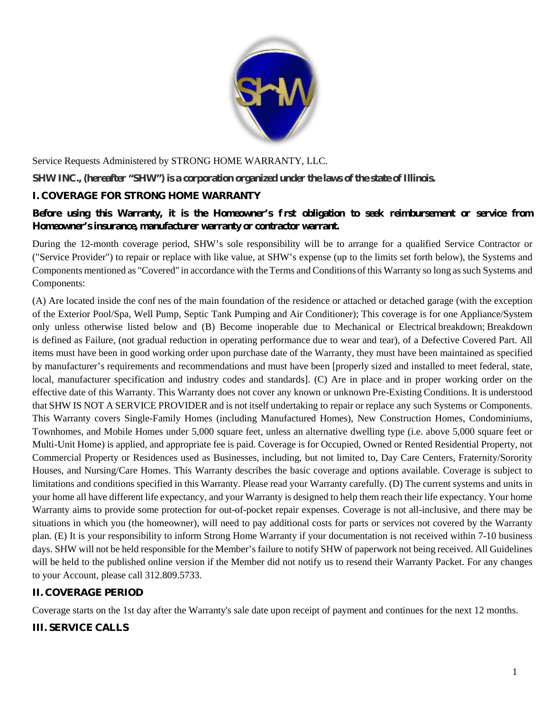

Service Requests Administered by STRONG HOME WARRANTY, LLC.

**SHW INC., (hereafter "SHW") is a corporation organized under the laws of the state of Illinois.**

### **I. COVERAGE FOR STRONG HOME WARRANTY**

### **Before using this Warranty, it is the Homeowner's first obligation to seek reimbursement or service from Homeowner's insurance, manufacturer warranty or contractor warrant.**

During the 12-month coverage period, SHW's sole responsibility will be to arrange for a qualified Service Contractor or ("Service Provider") to repair or replace with like value, at SHW's expense (up to the limits set forth below), the Systems and Components mentioned as "Covered" in accordance with the Terms and Conditions of this Warranty so long as such Systems and Components:

(A) Are located inside the confines of the main foundation of the residence or attached or detached garage (with the exception of the Exterior Pool/Spa, Well Pump, Septic Tank Pumping and Air Conditioner); This coverage is for one Appliance/System only unless otherwise listed below and (B) Become inoperable due to Mechanical or Electrical breakdown; Breakdown is defined as Failure, (not gradual reduction in operating performance due to wear and tear), of a Defective Covered Part. All items must have been in good working order upon purchase date of the Warranty, they must have been maintained as specified by manufacturer's requirements and recommendations and must have been [properly sized and installed to meet federal, state, local, manufacturer specification and industry codes and standards]. (C) Are in place and in proper working order on the effective date of this Warranty. This Warranty does not cover any known or unknown Pre-Existing Conditions. It is understood that SHW IS NOT A SERVICE PROVIDER and is not itself undertaking to repair or replace any such Systems or Components. This Warranty covers Single-Family Homes (including Manufactured Homes), New Construction Homes, Condominiums, Townhomes, and Mobile Homes under 5,000 square feet, unless an alternative dwelling type (i.e. above 5,000 square feet or Multi-Unit Home) is applied, and appropriate fee is paid. Coverage is for Occupied, Owned or Rented Residential Property, not Commercial Property or Residences used as Businesses, including, but not limited to, Day Care Centers, Fraternity/Sorority Houses, and Nursing/Care Homes. This Warranty describes the basic coverage and options available. Coverage is subject to limitations and conditions specified in this Warranty. Please read your Warranty carefully. (D) The current systems and units in your home all have different life expectancy, and your Warranty is designed to help them reach their life expectancy. Your home Warranty aims to provide some protection for out-of-pocket repair expenses. Coverage is not all-inclusive, and there may be situations in which you (the homeowner), will need to pay additional costs for parts or services not covered by the Warranty plan. (E) It is your responsibility to inform Strong Home Warranty if your documentation is not received within 7-10 business days. SHW will not be held responsible for the Member's failure to notify SHW of paperwork not being received. All Guidelines will be held to the published online version if the Member did not notify us to resend their Warranty Packet. For any changes to your Account, please call 312.809.5733.

# **II. COVERAGE PERIOD**

Coverage starts on the 1st day after the Warranty's sale date upon receipt of payment and continues for the next 12 months.

# **III. SERVICE CALLS**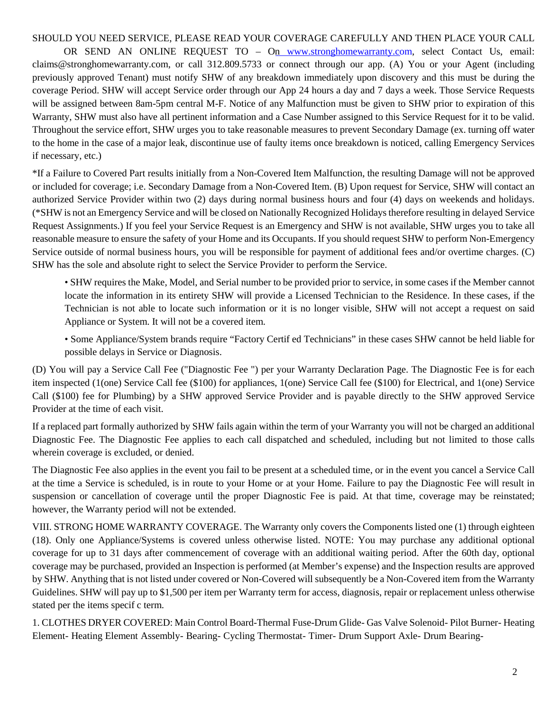#### SHOULD YOU NEED SERVICE, PLEASE READ YOUR COVERAGE CAREFULLY AND THEN PLACE YOUR CALL

OR SEND AN ONLINE REQUEST TO – On www.stronghomewarranty.com, select Contact Us, email: claims@stronghomewarranty.com, or call 312.809.5733 or connect through our app. (A) You or your Agent (including previously approved Tenant) must notify SHW of any breakdown immediately upon discovery and this must be during the coverage Period. SHW will accept Service order through our App 24 hours a day and 7 days a week. Those Service Requests will be assigned between 8am-5pm central M-F. Notice of any Malfunction must be given to SHW prior to expiration of this Warranty, SHW must also have all pertinent information and a Case Number assigned to this Service Request for it to be valid. Throughout the service effort, SHW urges you to take reasonable measures to prevent Secondary Damage (ex. turning off water to the home in the case of a major leak, discontinue use of faulty items once breakdown is noticed, calling Emergency Services if necessary, etc.)

\*If a Failure to Covered Part results initially from a Non-Covered Item Malfunction, the resulting Damage will not be approved or included for coverage; i.e. Secondary Damage from a Non-Covered Item. (B) Upon request for Service, SHW will contact an authorized Service Provider within two (2) days during normal business hours and four (4) days on weekends and holidays. (\*SHW is not an Emergency Service and will be closed on NationallyRecognized Holidaystherefore resulting in delayed Service Request Assignments.) If you feel your Service Request is an Emergency and SHW is not available, SHW urges you to take all reasonable measure to ensure the safety of your Home and its Occupants. If you should request SHW to perform Non-Emergency Service outside of normal business hours, you will be responsible for payment of additional fees and/or overtime charges. (C) SHW has the sole and absolute right to select the Service Provider to perform the Service.

• SHW requires the Make, Model, and Serial number to be provided prior to service, in some cases if the Member cannot locate the information in its entirety SHW will provide a Licensed Technician to the Residence. In these cases, if the Technician is not able to locate such information or it is no longer visible, SHW will not accept a request on said Appliance or System. It will not be a covered item.

• Some Appliance/System brands require "Factory Certified Technicians" in these cases SHW cannot be held liable for possible delays in Service or Diagnosis.

(D) You will pay a Service Call Fee ("Diagnostic Fee ") per your Warranty Declaration Page. The Diagnostic Fee is for each item inspected (1(one) Service Call fee (\$100) for appliances, 1(one) Service Call fee (\$100) for Electrical, and 1(one) Service Call (\$100) fee for Plumbing) by a SHW approved Service Provider and is payable directly to the SHW approved Service Provider at the time of each visit.

If a replaced part formally authorized by SHW fails again within the term of your Warranty you will not be charged an additional Diagnostic Fee. The Diagnostic Fee applies to each call dispatched and scheduled, including but not limited to those calls wherein coverage is excluded, or denied.

The Diagnostic Fee also applies in the event you fail to be present at a scheduled time, or in the event you cancel a Service Call at the time a Service is scheduled, is in route to your Home or at your Home. Failure to pay the Diagnostic Fee will result in suspension or cancellation of coverage until the proper Diagnostic Fee is paid. At that time, coverage may be reinstated; however, the Warranty period will not be extended.

VIII. STRONG HOME WARRANTY COVERAGE. The Warranty only covers the Components listed one (1) through eighteen (18). Only one Appliance/Systems is covered unless otherwise listed. NOTE: You may purchase any additional optional coverage for up to 31 days after commencement of coverage with an additional waiting period. After the 60th day, optional coverage may be purchased, provided an Inspection is performed (at Member's expense) and the Inspection results are approved by SHW. Anything that is not listed under covered or Non-Covered will subsequently be a Non-Covered item from the Warranty Guidelines. SHW will pay up to \$1,500 per item per Warranty term for access, diagnosis, repair or replacement unless otherwise stated per the items specif c term.

1. CLOTHES DRYER COVERED: Main Control Board-Thermal Fuse-Drum Glide- Gas Valve Solenoid- Pilot Burner- Heating Element- Heating Element Assembly- Bearing- Cycling Thermostat- Timer- Drum Support Axle- Drum Bearing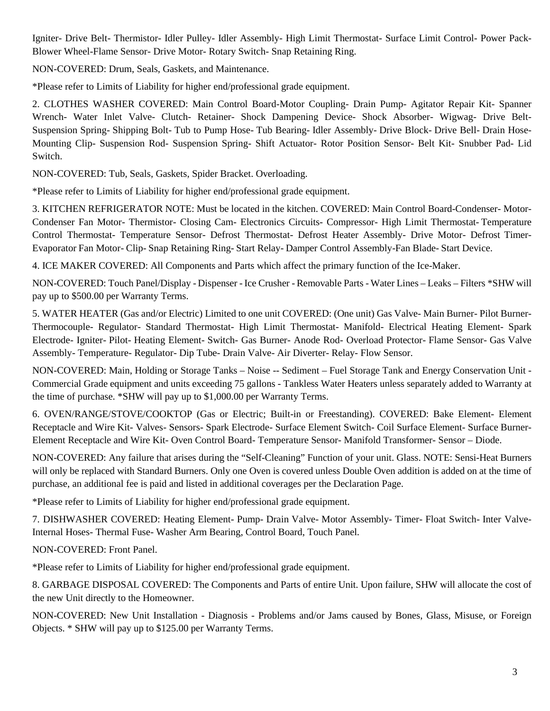Igniter- Drive Belt- Thermistor- Idler Pulley- Idler Assembly- High Limit Thermostat- Surface Limit Control- Power Pack-Blower Wheel-Flame Sensor- Drive Motor- Rotary Switch- Snap Retaining Ring.

NON-COVERED: Drum, Seals, Gaskets, and Maintenance.

\*Please refer to Limits of Liability for higher end/professional grade equipment.

2. CLOTHES WASHER COVERED: Main Control Board-Motor Coupling- Drain Pump- Agitator Repair Kit- Spanner Wrench- Water Inlet Valve- Clutch- Retainer- Shock Dampening Device- Shock Absorber- Wigwag- Drive Belt-Suspension Spring- Shipping Bolt- Tub to Pump Hose- Tub Bearing- Idler Assembly- Drive Block- Drive Bell- Drain Hose-Mounting Clip- Suspension Rod- Suspension Spring- Shift Actuator- Rotor Position Sensor- Belt Kit- Snubber Pad- Lid Switch.

NON-COVERED: Tub, Seals, Gaskets, Spider Bracket. Overloading.

\*Please refer to Limits of Liability for higher end/professional grade equipment.

3. KITCHEN REFRIGERATOR NOTE: Must be located in the kitchen. COVERED: Main Control Board-Condenser- Motor-Condenser Fan Motor- Thermistor- Closing Cam- Electronics Circuits- Compressor- High Limit Thermostat- Temperature Control Thermostat- Temperature Sensor- Defrost Thermostat- Defrost Heater Assembly- Drive Motor- Defrost Timer-Evaporator Fan Motor- Clip- Snap Retaining Ring- Start Relay- Damper Control Assembly-Fan Blade- Start Device.

4. ICE MAKER COVERED: All Components and Parts which affect the primary function of the Ice-Maker.

NON-COVERED: Touch Panel/Display - Dispenser -Ice Crusher -Removable Parts - Water Lines – Leaks – Filters \*SHW will pay up to \$500.00 per Warranty Terms.

5. WATER HEATER (Gas and/or Electric) Limited to one unit COVERED: (One unit) Gas Valve- Main Burner- Pilot Burner-Thermocouple- Regulator- Standard Thermostat- High Limit Thermostat- Manifold- Electrical Heating Element- Spark Electrode- Igniter- Pilot- Heating Element- Switch- Gas Burner- Anode Rod- Overload Protector- Flame Sensor- Gas Valve Assembly- Temperature- Regulator- Dip Tube- Drain Valve- Air Diverter- Relay- Flow Sensor.

NON-COVERED: Main, Holding or Storage Tanks – Noise -- Sediment – Fuel Storage Tank and Energy Conservation Unit - Commercial Grade equipment and units exceeding 75 gallons - Tankless Water Heaters unless separately added to Warranty at the time of purchase. \*SHW will pay up to \$1,000.00 per Warranty Terms.

6. OVEN/RANGE/STOVE/COOKTOP (Gas or Electric; Built-in or Freestanding). COVERED: Bake Element- Element Receptacle and Wire Kit- Valves- Sensors- Spark Electrode- Surface Element Switch- Coil Surface Element- Surface Burner-Element Receptacle and Wire Kit- Oven Control Board- Temperature Sensor- Manifold Transformer- Sensor – Diode.

NON-COVERED: Any failure that arises during the "Self-Cleaning" Function of your unit. Glass. NOTE: Sensi-Heat Burners will only be replaced with Standard Burners. Only one Oven is covered unless Double Oven addition is added on at the time of purchase, an additional fee is paid and listed in additional coverages per the Declaration Page.

\*Please refer to Limits of Liability for higher end/professional grade equipment.

7. DISHWASHER COVERED: Heating Element- Pump- Drain Valve- Motor Assembly- Timer- Float Switch- Inter Valve-Internal Hoses- Thermal Fuse- Washer Arm Bearing, Control Board, Touch Panel.

NON-COVERED: Front Panel.

\*Please refer to Limits of Liability for higher end/professional grade equipment.

8. GARBAGE DISPOSAL COVERED: The Components and Parts of entire Unit. Upon failure, SHW will allocate the cost of the new Unit directly to the Homeowner.

NON-COVERED: New Unit Installation - Diagnosis - Problems and/or Jams caused by Bones, Glass, Misuse, or Foreign Objects. \* SHW will pay up to \$125.00 per Warranty Terms.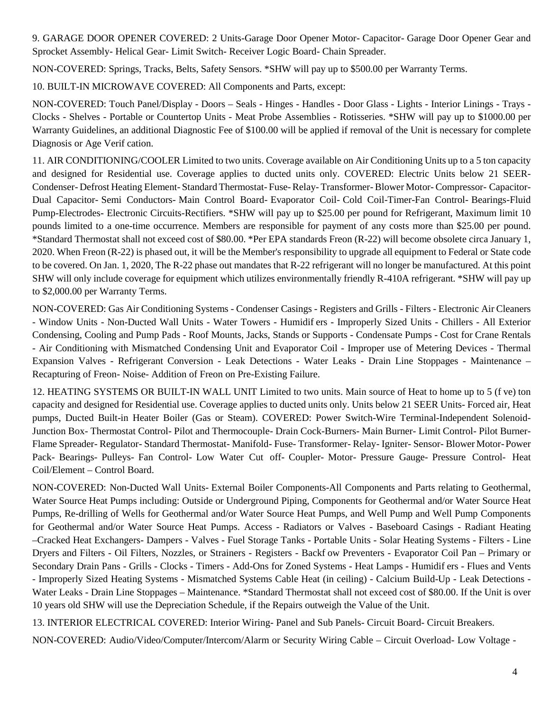9. GARAGE DOOR OPENER COVERED: 2 Units-Garage Door Opener Motor- Capacitor- Garage Door Opener Gear and Sprocket Assembly- Helical Gear- Limit Switch- Receiver Logic Board- Chain Spreader.

NON-COVERED: Springs, Tracks, Belts, Safety Sensors. \*SHW will pay up to \$500.00 per Warranty Terms.

10. BUILT-IN MICROWAVE COVERED: All Components and Parts, except:

NON-COVERED: Touch Panel/Display - Doors – Seals - Hinges - Handles - Door Glass - Lights - Interior Linings - Trays - Clocks - Shelves - Portable or Countertop Units - Meat Probe Assemblies - Rotisseries. \*SHW will pay up to \$1000.00 per Warranty Guidelines, an additional Diagnostic Fee of \$100.00 will be applied if removal of the Unit is necessary for complete Diagnosis or Age Verif cation.

11. AIR CONDITIONING/COOLER Limited to two units. Coverage available on Air Conditioning Units up to a 5 ton capacity and designed for Residential use. Coverage applies to ducted units only. COVERED: Electric Units below 21 SEER-Condenser- Defrost Heating Element- Standard Thermostat- Fuse-Relay- Transformer-Blower Motor-Compressor- Capacitor-Dual Capacitor- Semi Conductors- Main Control Board- Evaporator Coil- Cold Coil-Timer-Fan Control- Bearings-Fluid Pump-Electrodes- Electronic Circuits-Rectifiers. \*SHW will pay up to \$25.00 per pound for Refrigerant, Maximum limit 10 pounds limited to a one-time occurrence. Members are responsible for payment of any costs more than \$25.00 per pound. \*Standard Thermostat shall not exceed cost of \$80.00. \*Per EPA standards Freon (R-22) will become obsolete circa January 1, 2020. When Freon (R-22) is phased out, it will be the Member's responsibility to upgrade all equipment to Federal or State code to be covered. On Jan. 1, 2020, The R-22 phase out mandates that R-22 refrigerant will no longer be manufactured. At this point SHW will only include coverage for equipment which utilizes environmentally friendly R-410A refrigerant. \*SHW will pay up to \$2,000.00 per Warranty Terms.

NON-COVERED: Gas Air Conditioning Systems - Condenser Casings - Registers and Grills - Filters - Electronic Air Cleaners - Window Units - Non-Ducted Wall Units - Water Towers - Humidifiers - Improperly Sized Units - Chillers - All Exterior Condensing, Cooling and Pump Pads - Roof Mounts, Jacks, Stands or Supports - Condensate Pumps - Cost for Crane Rentals - Air Conditioning with Mismatched Condensing Unit and Evaporator Coil - Improper use of Metering Devices - Thermal Expansion Valves - Refrigerant Conversion - Leak Detections - Water Leaks - Drain Line Stoppages - Maintenance – Recapturing of Freon- Noise- Addition of Freon on Pre-Existing Failure.

12. HEATING SYSTEMS OR BUILT-IN WALL UNIT Limited to two units. Main source of Heat to home up to 5 (five) ton capacity and designed for Residential use. Coverage applies to ducted units only. Units below 21 SEER Units- Forced air, Heat pumps, Ducted Built-in Heater Boiler (Gas or Steam). COVERED: Power Switch-Wire Terminal-Independent Solenoid-Junction Box- Thermostat Control- Pilot and Thermocouple- Drain Cock-Burners- Main Burner- Limit Control- Pilot Burner-Flame Spreader- Regulator- Standard Thermostat- Manifold- Fuse- Transformer- Relay- Igniter- Sensor- BlowerMotor-Power Pack- Bearings- Pulleys- Fan Control- Low Water Cut off- Coupler- Motor- Pressure Gauge- Pressure Control- Heat Coil/Element – Control Board.

NON-COVERED: Non-Ducted Wall Units- External Boiler Components-All Components and Parts relating to Geothermal, Water Source Heat Pumps including: Outside or Underground Piping, Components for Geothermal and/or Water Source Heat Pumps, Re-drilling of Wells for Geothermal and/or Water Source Heat Pumps, and Well Pump and Well Pump Components for Geothermal and/or Water Source Heat Pumps. Access - Radiators or Valves - Baseboard Casings - Radiant Heating –Cracked Heat Exchangers- Dampers - Valves - Fuel Storage Tanks - Portable Units - Solar Heating Systems - Filters - Line Dryers and Filters - Oil Filters, Nozzles, or Strainers - Registers - Backf ow Preventers - Evaporator Coil Pan – Primary or Secondary Drain Pans - Grills - Clocks - Timers - Add-Ons for Zoned Systems - Heat Lamps - Humidifiers - Flues and Vents - Improperly Sized Heating Systems - Mismatched Systems Cable Heat (in ceiling) - Calcium Build-Up - Leak Detections - Water Leaks - Drain Line Stoppages – Maintenance. \*Standard Thermostat shall not exceed cost of \$80.00. If the Unit is over 10 years old SHW will use the Depreciation Schedule, if the Repairs outweigh the Value of the Unit.

13. INTERIOR ELECTRICAL COVERED: Interior Wiring- Panel and Sub Panels- Circuit Board- Circuit Breakers.

NON-COVERED: Audio/Video/Computer/Intercom/Alarm or Security Wiring Cable – Circuit Overload- Low Voltage -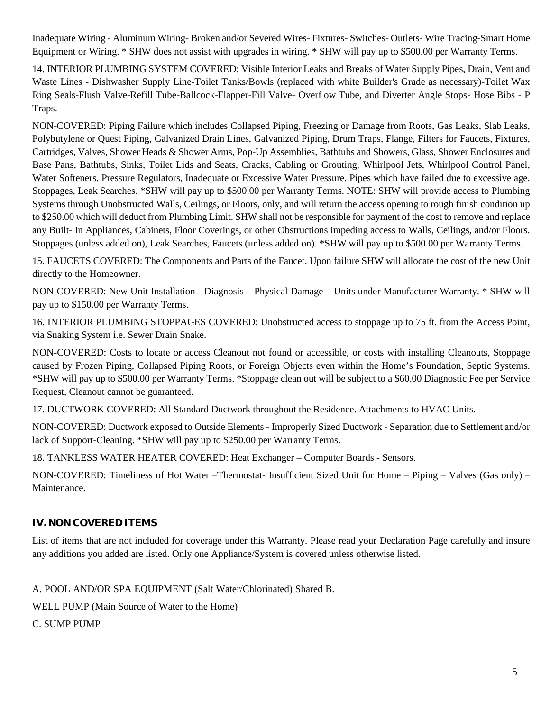Inadequate Wiring - Aluminum Wiring- Broken and/or Severed Wires- Fixtures- Switches- Outlets- Wire Tracing-Smart Home Equipment or Wiring. \* SHW does not assist with upgrades in wiring. \* SHW will pay up to \$500.00 per Warranty Terms.

14. INTERIOR PLUMBING SYSTEM COVERED: Visible Interior Leaks and Breaks of Water Supply Pipes, Drain, Vent and Waste Lines - Dishwasher Supply Line-Toilet Tanks/Bowls (replaced with white Builder's Grade as necessary)-Toilet Wax Ring Seals-Flush Valve-Refill Tube-Ballcock-Flapper-Fill Valve- Overflow Tube, and Diverter Angle Stops- Hose Bibs - P Traps.

NON-COVERED: Piping Failure which includes Collapsed Piping, Freezing or Damage from Roots, Gas Leaks, Slab Leaks, Polybutylene or Quest Piping, Galvanized Drain Lines, Galvanized Piping, Drum Traps, Flange, Filters for Faucets, Fixtures, Cartridges, Valves, Shower Heads & Shower Arms, Pop-Up Assemblies, Bathtubs and Showers, Glass, Shower Enclosures and Base Pans, Bathtubs, Sinks, Toilet Lids and Seats, Cracks, Cabling or Grouting, Whirlpool Jets, Whirlpool Control Panel, Water Softeners, Pressure Regulators, Inadequate or Excessive Water Pressure. Pipes which have failed due to excessive age. Stoppages, Leak Searches. \*SHW will pay up to \$500.00 per Warranty Terms. NOTE: SHW will provide access to Plumbing Systems through Unobstructed Walls, Ceilings, or Floors, only, and will return the access opening to rough finish condition up to \$250.00 which will deduct from Plumbing Limit. SHW shall not be responsible for payment of the cost to remove and replace any Built- In Appliances, Cabinets, Floor Coverings, or other Obstructions impeding access to Walls, Ceilings, and/or Floors. Stoppages (unless added on), Leak Searches, Faucets (unless added on). \*SHW will pay up to \$500.00 per Warranty Terms.

15. FAUCETS COVERED: The Components and Parts of the Faucet. Upon failure SHW will allocate the cost of the new Unit directly to the Homeowner.

NON-COVERED: New Unit Installation - Diagnosis – Physical Damage – Units under Manufacturer Warranty. \* SHW will pay up to \$150.00 per Warranty Terms.

16. INTERIOR PLUMBING STOPPAGES COVERED: Unobstructed access to stoppage up to 75 ft. from the Access Point, via Snaking System i.e. Sewer Drain Snake.

NON-COVERED: Costs to locate or access Cleanout not found or accessible, or costs with installing Cleanouts, Stoppage caused by Frozen Piping, Collapsed Piping Roots, or Foreign Objects even within the Home's Foundation, Septic Systems. \*SHW will pay up to \$500.00 per Warranty Terms. \*Stoppage clean out will be subject to a \$60.00 Diagnostic Fee per Service Request, Cleanout cannot be guaranteed.

17. DUCTWORK COVERED: All Standard Ductwork throughout the Residence. Attachments to HVAC Units.

NON-COVERED: Ductwork exposed to Outside Elements - Improperly Sized Ductwork - Separation due to Settlement and/or lack of Support-Cleaning. \*SHW will pay up to \$250.00 per Warranty Terms.

18. TANKLESS WATER HEATER COVERED: Heat Exchanger – Computer Boards - Sensors.

NON-COVERED: Timeliness of Hot Water –Thermostat- Insufficient Sized Unit for Home – Piping – Valves (Gas only) – Maintenance.

#### **IV. NON COVERED ITEMS**

List of items that are not included for coverage under this Warranty. Please read your Declaration Page carefully and insure any additions you added are listed. Only one Appliance/System is covered unless otherwise listed.

A. POOL AND/OR SPA EQUIPMENT (Salt Water/Chlorinated) Shared B.

WELL PUMP (Main Source of Water to the Home)

C. SUMP PUMP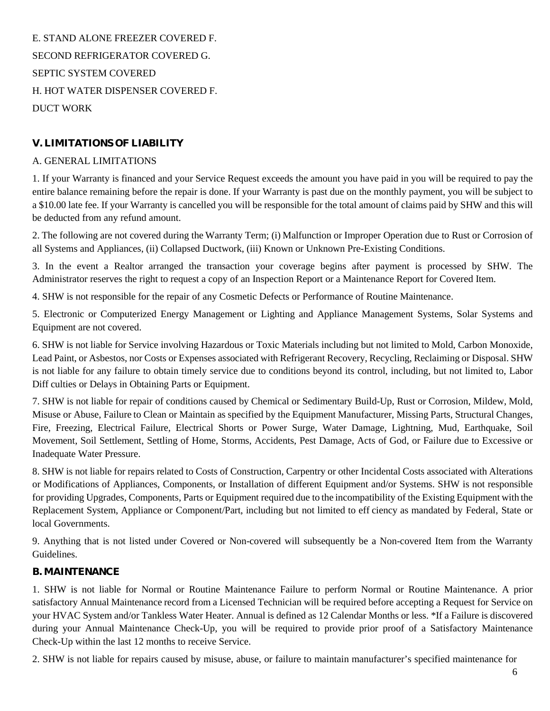E. STAND ALONE FREEZER COVERED F. SECOND REFRIGERATOR COVERED G. SEPTIC SYSTEM COVERED H. HOT WATER DISPENSER COVERED F. DUCT WORK

# **V. LIMITATIONS OF LIABILITY**

#### A. GENERAL LIMITATIONS

1. If your Warranty is financed and your Service Request exceeds the amount you have paid in you will be required to pay the entire balance remaining before the repair is done. If your Warranty is past due on the monthly payment, you will be subject to a \$10.00 late fee. If your Warranty is cancelled you will be responsible for the total amount of claims paid by SHW and this will be deducted from any refund amount.

2. The following are not covered during the Warranty Term; (i) Malfunction or Improper Operation due to Rust or Corrosion of all Systems and Appliances, (ii) Collapsed Ductwork, (iii) Known or Unknown Pre-Existing Conditions.

3. In the event a Realtor arranged the transaction your coverage begins after payment is processed by SHW. The Administrator reserves the right to request a copy of an Inspection Report or a Maintenance Report for Covered Item.

4. SHW is not responsible for the repair of any Cosmetic Defects or Performance of Routine Maintenance.

5. Electronic or Computerized Energy Management or Lighting and Appliance Management Systems, Solar Systems and Equipment are not covered.

6. SHW is not liable for Service involving Hazardous or Toxic Materials including but not limited to Mold, Carbon Monoxide, Lead Paint, or Asbestos, nor Costs or Expenses associated with Refrigerant Recovery, Recycling, Reclaiming or Disposal. SHW is not liable for any failure to obtain timely service due to conditions beyond its control, including, but not limited to, Labor Diff culties or Delays in Obtaining Parts or Equipment.

7. SHW is not liable for repair of conditions caused by Chemical or Sedimentary Build-Up, Rust or Corrosion, Mildew, Mold, Misuse or Abuse, Failure to Clean or Maintain as specified by the Equipment Manufacturer, Missing Parts, Structural Changes, Fire, Freezing, Electrical Failure, Electrical Shorts or Power Surge, Water Damage, Lightning, Mud, Earthquake, Soil Movement, Soil Settlement, Settling of Home, Storms, Accidents, Pest Damage, Acts of God, or Failure due to Excessive or Inadequate Water Pressure.

8. SHW is not liable for repairs related to Costs of Construction, Carpentry or other Incidental Costs associated with Alterations or Modifications of Appliances, Components, or Installation of different Equipment and/or Systems. SHW is not responsible for providing Upgrades, Components, Parts or Equipment required due to the incompatibility of the Existing Equipment with the Replacement System, Appliance or Component/Part, including but not limited to efficiency as mandated by Federal, State or local Governments.

9. Anything that is not listed under Covered or Non-covered will subsequently be a Non-covered Item from the Warranty Guidelines.

#### **B. MAINTENANCE**

1. SHW is not liable for Normal or Routine Maintenance Failure to perform Normal or Routine Maintenance. A prior satisfactory Annual Maintenance record from a Licensed Technician will be required before accepting a Request for Service on your HVAC System and/or Tankless Water Heater. Annual is defined as 12 Calendar Months or less. \*If a Failure is discovered during your Annual Maintenance Check-Up, you will be required to provide prior proof of a Satisfactory Maintenance Check-Up within the last 12 months to receive Service.

2. SHW is not liable for repairs caused by misuse, abuse, or failure to maintain manufacturer's specified maintenance for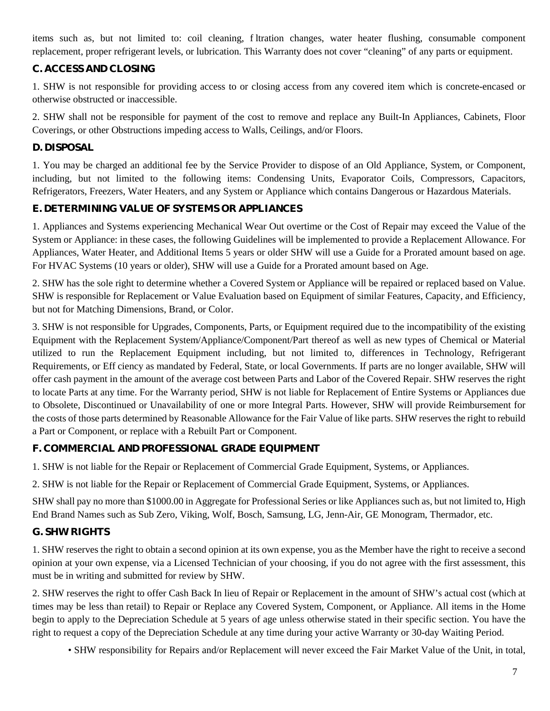items such as, but not limited to: coil cleaning, filtration changes, water heater flushing, consumable component replacement, proper refrigerant levels, or lubrication. This Warranty does not cover "cleaning" of any parts or equipment.

# **C. ACCESS AND CLOSING**

1. SHW is not responsible for providing access to or closing access from any covered item which is concrete-encased or otherwise obstructed or inaccessible.

2. SHW shall not be responsible for payment of the cost to remove and replace any Built-In Appliances, Cabinets, Floor Coverings, or other Obstructions impeding access to Walls, Ceilings, and/or Floors.

### **D. DISPOSAL**

1. You may be charged an additional fee by the Service Provider to dispose of an Old Appliance, System, or Component, including, but not limited to the following items: Condensing Units, Evaporator Coils, Compressors, Capacitors, Refrigerators, Freezers, Water Heaters, and any System or Appliance which contains Dangerous or Hazardous Materials.

### **E. DETERMINING VALUE OF SYSTEMS OR APPLIANCES**

1. Appliances and Systems experiencing Mechanical Wear Out overtime or the Cost of Repair may exceed the Value of the System or Appliance: in these cases, the following Guidelines will be implemented to provide a Replacement Allowance. For Appliances, Water Heater, and Additional Items 5 years or older SHW will use a Guide for a Prorated amount based on age. For HVAC Systems (10 years or older), SHW will use a Guide for a Prorated amount based on Age.

2. SHW has the sole right to determine whether a Covered System or Appliance will be repaired or replaced based on Value. SHW is responsible for Replacement or Value Evaluation based on Equipment of similar Features, Capacity, and Efficiency, but not for Matching Dimensions, Brand, or Color.

3. SHW is not responsible for Upgrades, Components, Parts, or Equipment required due to the incompatibility of the existing Equipment with the Replacement System/Appliance/Component/Part thereof as well as new types of Chemical or Material utilized to run the Replacement Equipment including, but not limited to, differences in Technology, Refrigerant Requirements, or Eff ciency as mandated by Federal, State, or local Governments. If parts are no longer available, SHW will offer cash payment in the amount of the average cost between Parts and Labor of the Covered Repair. SHW reserves the right to locate Parts at any time. For the Warranty period, SHW is not liable for Replacement of Entire Systems or Appliances due to Obsolete, Discontinued or Unavailability of one or more Integral Parts. However, SHW will provide Reimbursement for the costs of those parts determined by Reasonable Allowance for the Fair Value of like parts. SHW reserves the right to rebuild a Part or Component, or replace with a Rebuilt Part or Component.

# **F. COMMERCIAL AND PROFESSIONAL GRADE EQUIPMENT**

1. SHW is not liable for the Repair or Replacement of Commercial Grade Equipment, Systems, or Appliances.

2. SHW is not liable for the Repair or Replacement of Commercial Grade Equipment, Systems, or Appliances.

SHW shall pay no more than \$1000.00 in Aggregate for Professional Series or like Appliances such as, but not limited to, High End Brand Names such as Sub Zero, Viking, Wolf, Bosch, Samsung, LG, Jenn-Air, GE Monogram, Thermador, etc.

# **G. SHW RIGHTS**

1. SHW reserves the right to obtain a second opinion at its own expense, you as the Member have the right to receive a second opinion at your own expense, via a Licensed Technician of your choosing, if you do not agree with the first assessment, this must be in writing and submitted for review by SHW.

2. SHW reserves the right to offer Cash Back In lieu of Repair or Replacement in the amount of SHW's actual cost (which at times may be less than retail) to Repair or Replace any Covered System, Component, or Appliance. All items in the Home begin to apply to the Depreciation Schedule at 5 years of age unless otherwise stated in their specific section. You have the right to request a copy of the Depreciation Schedule at any time during your active Warranty or 30-day Waiting Period.

• SHW responsibility for Repairs and/or Replacement will never exceed the Fair Market Value of the Unit, in total,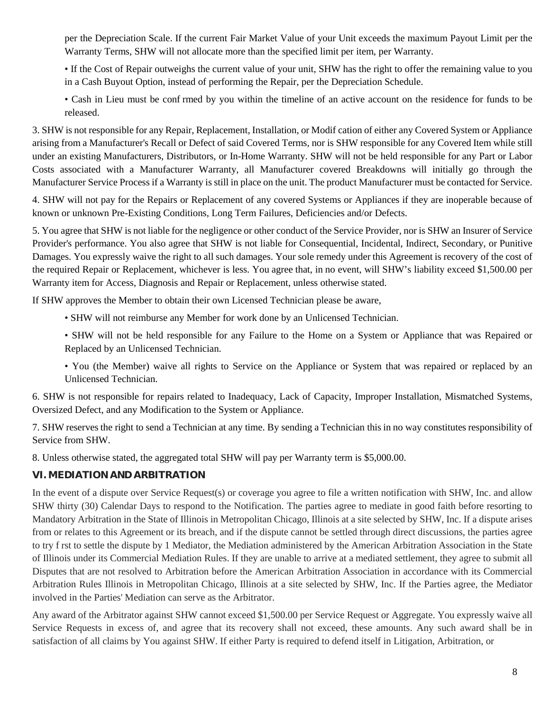per the Depreciation Scale. If the current Fair Market Value of your Unit exceeds the maximum Payout Limit per the Warranty Terms, SHW will not allocate more than the specified limit per item, per Warranty.

• If the Cost of Repair outweighs the current value of your unit, SHW has the right to offer the remaining value to you in a Cash Buyout Option, instead of performing the Repair, per the Depreciation Schedule.

• Cash in Lieu must be confirmed by you within the timeline of an active account on the residence for funds to be released.

3. SHW is not responsible for any Repair, Replacement, Installation, or Modification of either any Covered System or Appliance arising from a Manufacturer's Recall or Defect of said Covered Terms, nor is SHW responsible for any Covered Item while still under an existing Manufacturers, Distributors, or In-Home Warranty. SHW will not be held responsible for any Part or Labor Costs associated with a Manufacturer Warranty, all Manufacturer covered Breakdowns will initially go through the Manufacturer Service Process if a Warranty is still in place on the unit. The product Manufacturer must be contacted for Service.

4. SHW will not pay for the Repairs or Replacement of any covered Systems or Appliances if they are inoperable because of known or unknown Pre-Existing Conditions, Long Term Failures, Deficiencies and/or Defects.

5. You agree that SHW is not liable for the negligence or other conduct of the Service Provider, nor is SHW an Insurer of Service Provider's performance. You also agree that SHW is not liable for Consequential, Incidental, Indirect, Secondary, or Punitive Damages. You expressly waive the right to all such damages. Your sole remedy under this Agreement is recovery of the cost of the required Repair or Replacement, whichever is less. You agree that, in no event, will SHW's liability exceed \$1,500.00 per Warranty item for Access, Diagnosis and Repair or Replacement, unless otherwise stated.

If SHW approves the Member to obtain their own Licensed Technician please be aware,

• SHW will not reimburse any Member for work done by an Unlicensed Technician.

• SHW will not be held responsible for any Failure to the Home on a System or Appliance that was Repaired or Replaced by an Unlicensed Technician.

• You (the Member) waive all rights to Service on the Appliance or System that was repaired or replaced by an Unlicensed Technician.

6. SHW is not responsible for repairs related to Inadequacy, Lack of Capacity, Improper Installation, Mismatched Systems, Oversized Defect, and any Modification to the System or Appliance.

7. SHW reserves the right to send a Technician at any time. By sending a Technician this in no way constitutes responsibility of Service from SHW.

8. Unless otherwise stated, the aggregated total SHW will pay per Warranty term is \$5,000.00.

#### **VI. MEDIATION AND ARBITRATION**

In the event of a dispute over Service Request(s) or coverage you agree to file a written notification with SHW, Inc. and allow SHW thirty (30) Calendar Days to respond to the Notification. The parties agree to mediate in good faith before resorting to Mandatory Arbitration in the State of Illinois in Metropolitan Chicago, Illinois at a site selected by SHW, Inc. If a dispute arises from or relates to this Agreement or its breach, and if the dispute cannot be settled through direct discussions, the parties agree to try first to settle the dispute by 1 Mediator, the Mediation administered by the American Arbitration Association in the State of Illinois under its Commercial Mediation Rules. If they are unable to arrive at a mediated settlement, they agree to submit all Disputes that are not resolved to Arbitration before the American Arbitration Association in accordance with its Commercial Arbitration Rules Illinois in Metropolitan Chicago, Illinois at a site selected by SHW, Inc. If the Parties agree, the Mediator involved in the Parties' Mediation can serve as the Arbitrator.

Any award of the Arbitrator against SHW cannot exceed \$1,500.00 per Service Request or Aggregate. You expressly waive all Service Requests in excess of, and agree that its recovery shall not exceed, these amounts. Any such award shall be in satisfaction of all claims by You against SHW. If either Party is required to defend itself in Litigation, Arbitration, or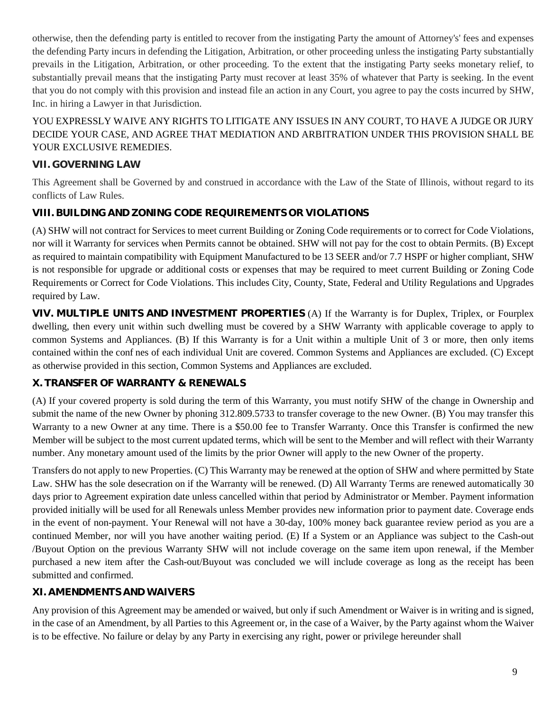otherwise, then the defending party is entitled to recover from the instigating Party the amount of Attorney's' fees and expenses the defending Party incurs in defending the Litigation, Arbitration, or other proceeding unless the instigating Party substantially prevails in the Litigation, Arbitration, or other proceeding. To the extent that the instigating Party seeks monetary relief, to substantially prevail means that the instigating Party must recover at least 35% of whatever that Party is seeking. In the event that you do not comply with this provision and instead file an action in any Court, you agree to pay the costs incurred by SHW, Inc. in hiring a Lawyer in that Jurisdiction.

# YOU EXPRESSLY WAIVE ANY RIGHTS TO LITIGATE ANY ISSUES IN ANY COURT, TO HAVE A JUDGE OR JURY DECIDE YOUR CASE, AND AGREE THAT MEDIATION AND ARBITRATION UNDER THIS PROVISION SHALL BE YOUR EXCLUSIVE REMEDIES.

# **VII. GOVERNING LAW**

This Agreement shall be Governed by and construed in accordance with the Law of the State of Illinois, without regard to its conflicts of Law Rules.

# **VIII. BUILDING AND ZONING CODE REQUIREMENTS OR VIOLATIONS**

(A) SHW will not contract for Services to meet current Building or Zoning Code requirements or to correct for Code Violations, nor will it Warranty for services when Permits cannot be obtained. SHW will not pay for the cost to obtain Permits. (B) Except as required to maintain compatibility with Equipment Manufactured to be 13 SEER and/or 7.7 HSPF or higher compliant, SHW is not responsible for upgrade or additional costs or expenses that may be required to meet current Building or Zoning Code Requirements or Correct for Code Violations. This includes City, County, State, Federal and Utility Regulations and Upgrades required by Law.

**VIV. MULTIPLE UNITS AND INVESTMENT PROPERTIES** (A) If the Warranty is for Duplex, Triplex, or Fourplex dwelling, then every unit within such dwelling must be covered by a SHW Warranty with applicable coverage to apply to common Systems and Appliances. (B) If this Warranty is for a Unit within a multiple Unit of 3 or more, then only items contained within the confines of each individual Unit are covered. Common Systems and Appliances are excluded. (C) Except as otherwise provided in this section, Common Systems and Appliances are excluded.

# **X. TRANSFER OF WARRANTY & RENEWALS**

(A) If your covered property is sold during the term of this Warranty, you must notify SHW of the change in Ownership and submit the name of the new Owner by phoning 312.809.5733 to transfer coverage to the new Owner. (B) You may transfer this Warranty to a new Owner at any time. There is a \$50.00 fee to Transfer Warranty. Once this Transfer is confirmed the new Member will be subject to the most current updated terms, which will be sent to the Member and will reflect with their Warranty number. Any monetary amount used of the limits by the prior Owner will apply to the new Owner of the property.

Transfers do not apply to new Properties. (C) This Warranty may be renewed at the option of SHW and where permitted by State Law. SHW has the sole desecration on if the Warranty will be renewed. (D) All Warranty Terms are renewed automatically 30 days prior to Agreement expiration date unless cancelled within that period by Administrator or Member. Payment information provided initially will be used for all Renewals unless Member provides new information prior to payment date. Coverage ends in the event of non-payment. Your Renewal will not have a 30-day, 100% money back guarantee review period as you are a continued Member, nor will you have another waiting period. (E) If a System or an Appliance was subject to the Cash-out /Buyout Option on the previous Warranty SHW will not include coverage on the same item upon renewal, if the Member purchased a new item after the Cash-out/Buyout was concluded we will include coverage as long as the receipt has been submitted and confirmed.

# **XI. AMENDMENTS AND WAIVERS**

Any provision of this Agreement may be amended or waived, but only if such Amendment or Waiver is in writing and is signed, in the case of an Amendment, by all Parties to this Agreement or, in the case of a Waiver, by the Party against whom the Waiver is to be effective. No failure or delay by any Party in exercising any right, power or privilege hereunder shall